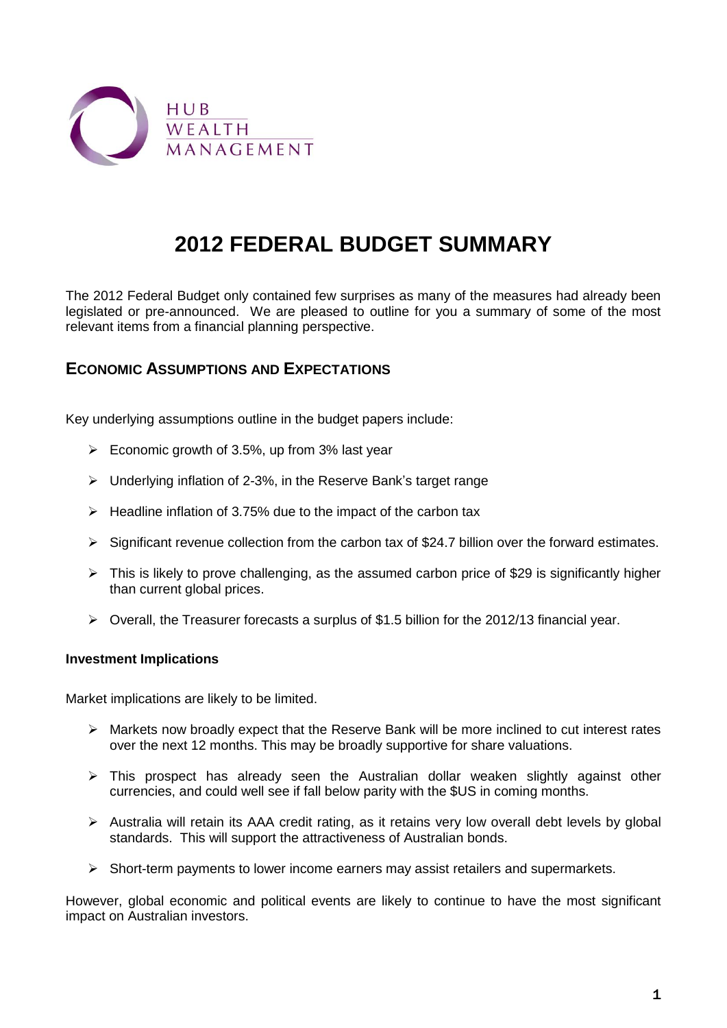

# **2012 FEDERAL BUDGET SUMMARY**

The 2012 Federal Budget only contained few surprises as many of the measures had already been legislated or pre-announced. We are pleased to outline for you a summary of some of the most relevant items from a financial planning perspective.

# **ECONOMIC ASSUMPTIONS AND EXPECTATIONS**

Key underlying assumptions outline in the budget papers include:

- $\triangleright$  Economic growth of 3.5%, up from 3% last year
- Underlying inflation of 2-3%, in the Reserve Bank's target range
- $\triangleright$  Headline inflation of 3.75% due to the impact of the carbon tax
- $\triangleright$  Significant revenue collection from the carbon tax of \$24.7 billion over the forward estimates.
- $\triangleright$  This is likely to prove challenging, as the assumed carbon price of \$29 is significantly higher than current global prices.
- $\triangleright$  Overall, the Treasurer forecasts a surplus of \$1.5 billion for the 2012/13 financial year.

### **Investment Implications**

Market implications are likely to be limited.

- $\triangleright$  Markets now broadly expect that the Reserve Bank will be more inclined to cut interest rates over the next 12 months. This may be broadly supportive for share valuations.
- This prospect has already seen the Australian dollar weaken slightly against other currencies, and could well see if fall below parity with the \$US in coming months.
- Australia will retain its AAA credit rating, as it retains very low overall debt levels by global standards. This will support the attractiveness of Australian bonds.
- $\triangleright$  Short-term payments to lower income earners may assist retailers and supermarkets.

However, global economic and political events are likely to continue to have the most significant impact on Australian investors.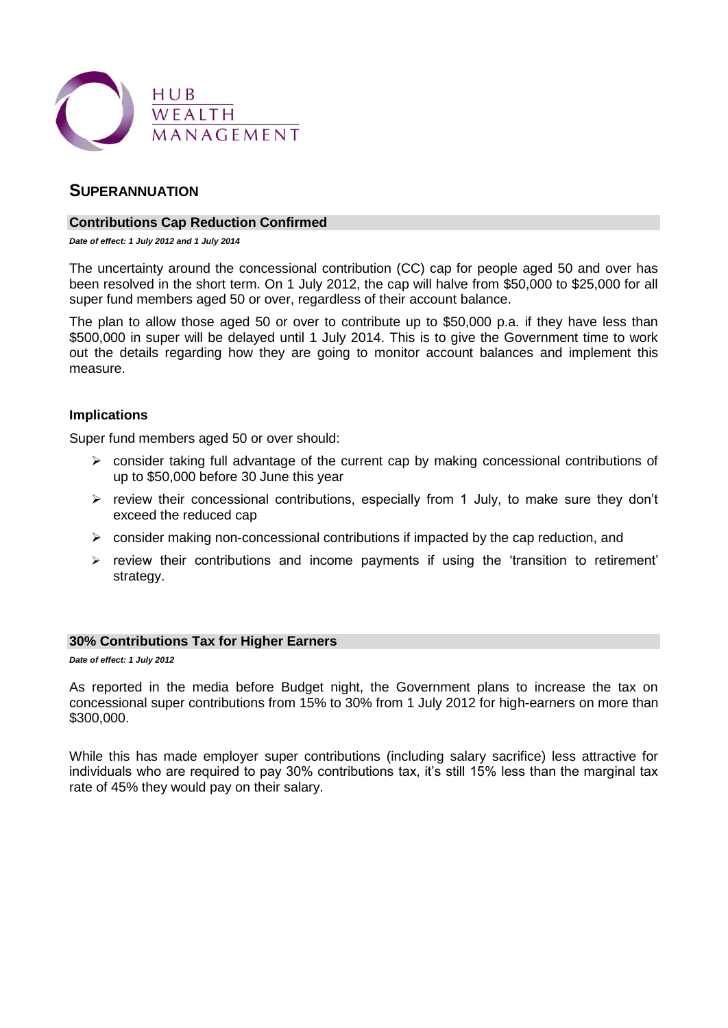

### **SUPERANNUATION**

#### **Contributions Cap Reduction Confirmed**

*Date of effect: 1 July 2012 and 1 July 2014*

The uncertainty around the concessional contribution (CC) cap for people aged 50 and over has been resolved in the short term. On 1 July 2012, the cap will halve from \$50,000 to \$25,000 for all super fund members aged 50 or over, regardless of their account balance.

The plan to allow those aged 50 or over to contribute up to \$50,000 p.a. if they have less than \$500,000 in super will be delayed until 1 July 2014. This is to give the Government time to work out the details regarding how they are going to monitor account balances and implement this measure.

#### **Implications**

Super fund members aged 50 or over should:

- $\triangleright$  consider taking full advantage of the current cap by making concessional contributions of up to \$50,000 before 30 June this year
- $\triangleright$  review their concessional contributions, especially from 1 July, to make sure they don't exceed the reduced cap
- $\triangleright$  consider making non-concessional contributions if impacted by the cap reduction, and
- $\triangleright$  review their contributions and income payments if using the 'transition to retirement' strategy.

#### **30% Contributions Tax for Higher Earners**

*Date of effect: 1 July 2012*

As reported in the media before Budget night, the Government plans to increase the tax on concessional super contributions from 15% to 30% from 1 July 2012 for high-earners on more than \$300,000.

While this has made employer super contributions (including salary sacrifice) less attractive for individuals who are required to pay 30% contributions tax, it's still 15% less than the marginal tax rate of 45% they would pay on their salary.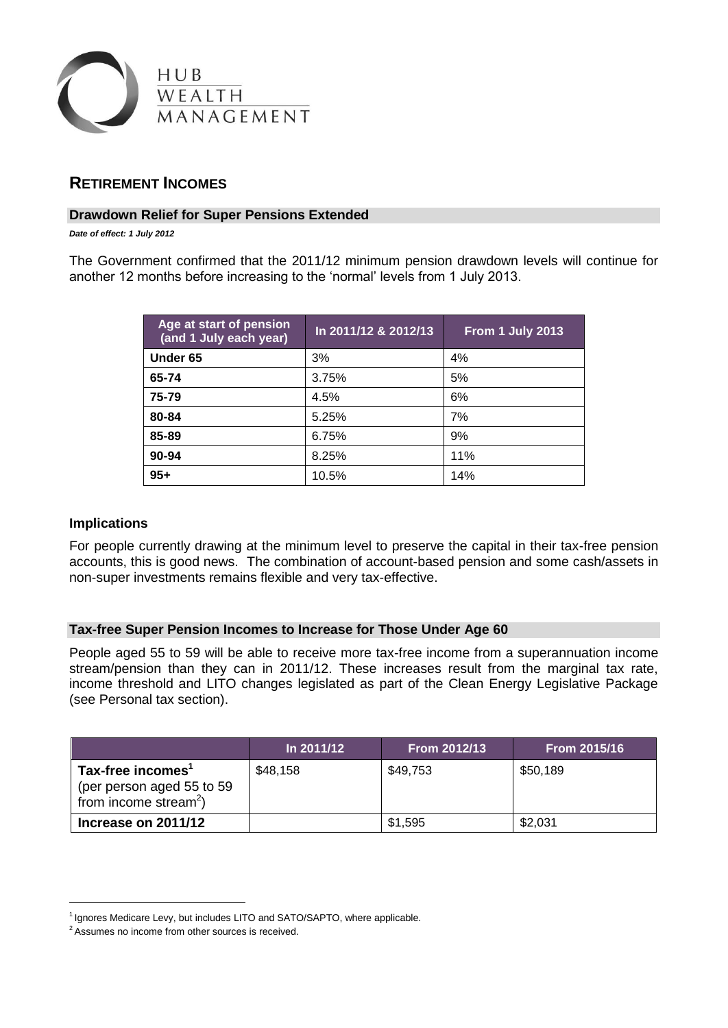

### **RETIREMENT INCOMES**

#### **Drawdown Relief for Super Pensions Extended**

*Date of effect: 1 July 2012*

The Government confirmed that the 2011/12 minimum pension drawdown levels will continue for another 12 months before increasing to the 'normal' levels from 1 July 2013.

| Age at start of pension<br>(and 1 July each year) | In 2011/12 & 2012/13 | From 1 July 2013 |
|---------------------------------------------------|----------------------|------------------|
| Under 65                                          | 3%                   | 4%               |
| 65-74                                             | 3.75%                | 5%               |
| 75-79                                             | 4.5%                 | 6%               |
| 80-84                                             | 5.25%                | 7%               |
| 85-89                                             | 6.75%                | 9%               |
| 90-94                                             | 8.25%                | 11%              |
| $95 +$                                            | 10.5%                | 14%              |

#### **Implications**

1

For people currently drawing at the minimum level to preserve the capital in their tax-free pension accounts, this is good news. The combination of account-based pension and some cash/assets in non-super investments remains flexible and very tax-effective.

### **Tax-free Super Pension Incomes to Increase for Those Under Age 60**

People aged 55 to 59 will be able to receive more tax-free income from a superannuation income stream/pension than they can in 2011/12. These increases result from the marginal tax rate, income threshold and LITO changes legislated as part of the Clean Energy Legislative Package (see Personal tax section).

|                                                                                     | ln 2011/12 | From 2012/13 | From 2015/16 |
|-------------------------------------------------------------------------------------|------------|--------------|--------------|
| Tax-free incomes'<br>(per person aged 55 to 59<br>from income stream <sup>2</sup> ) | \$48,158   | \$49,753     | \$50,189     |
| Increase on 2011/12                                                                 |            | \$1,595      | \$2,031      |

<sup>&</sup>lt;sup>1</sup> Ignores Medicare Levy, but includes LITO and SATO/SAPTO, where applicable.

<sup>&</sup>lt;sup>2</sup> Assumes no income from other sources is received.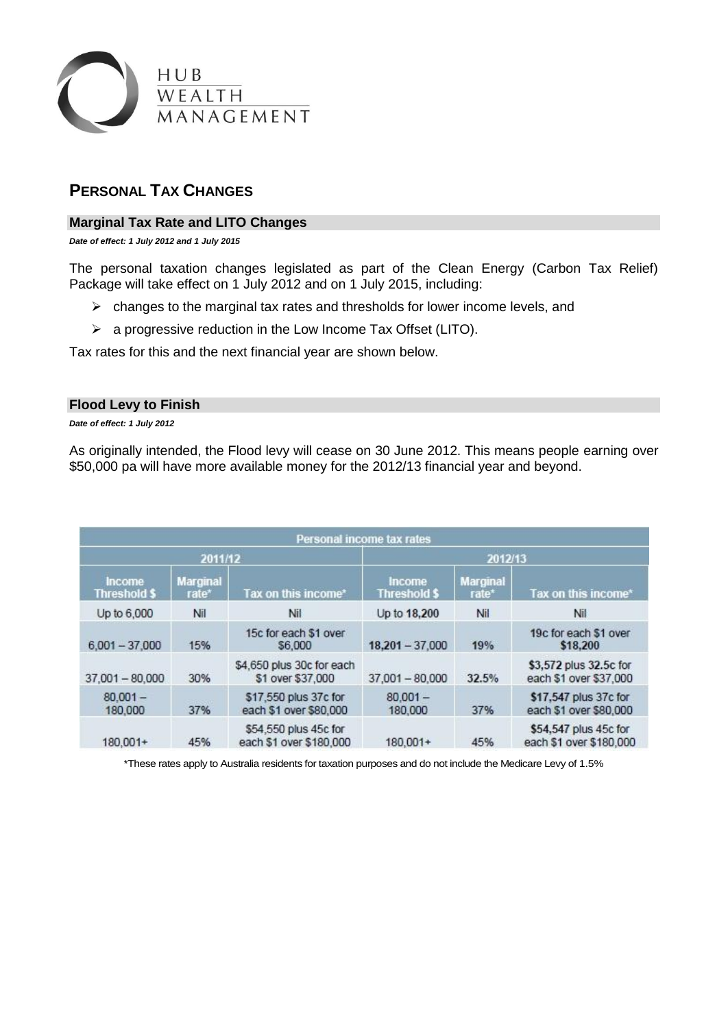

# **PERSONAL TAX CHANGES**

### **Marginal Tax Rate and LITO Changes**

*Date of effect: 1 July 2012 and 1 July 2015*

The personal taxation changes legislated as part of the Clean Energy (Carbon Tax Relief) Package will take effect on 1 July 2012 and on 1 July 2015, including:

- $\triangleright$  changes to the marginal tax rates and thresholds for lower income levels, and
- $\triangleright$  a progressive reduction in the Low Income Tax Offset (LITO).

Tax rates for this and the next financial year are shown below.

#### **Flood Levy to Finish**

*Date of effect: 1 July 2012*

As originally intended, the Flood levy will cease on 30 June 2012. This means people earning over \$50,000 pa will have more available money for the 2012/13 financial year and beyond.

| Personal income tax rates     |                          |                                                  |                                      |                          |                                                  |
|-------------------------------|--------------------------|--------------------------------------------------|--------------------------------------|--------------------------|--------------------------------------------------|
| 2011/12                       |                          | 2012/13                                          |                                      |                          |                                                  |
| Income<br><b>Threshold \$</b> | <b>Marginal</b><br>rate* | Tax on this income*                              | <b>Income</b><br><b>Threshold \$</b> | <b>Marginal</b><br>rate* | Tax on this income*                              |
| Up to 6,000                   | Nil                      | Nil.                                             | Up to 18,200                         | Nil                      | Nil.                                             |
| $6,001 - 37,000$              | 15%                      | 15c for each \$1 over<br>\$6,000                 | $18,201 - 37,000$                    | 19%                      | 19c for each \$1 over<br>\$18,200                |
| $37,001 - 80,000$             | 30%                      | \$4,650 plus 30c for each<br>\$1 over \$37,000   | $37,001 - 80,000$                    | 32.5%                    | \$3,572 plus 32.5c for<br>each \$1 over \$37,000 |
| $80.001 -$<br>180,000         | 37%                      | \$17,550 plus 37c for<br>each \$1 over \$80,000  | $80.001 -$<br>180,000                | 37%                      | \$17,547 plus 37c for<br>each \$1 over \$80,000  |
| $180,001+$                    | 45%                      | \$54,550 plus 45c for<br>each \$1 over \$180,000 | $180.001+$                           | 45%                      | \$54,547 plus 45c for<br>each \$1 over \$180,000 |

\*These rates apply to Australia residents for taxation purposes and do not include the Medicare Levy of 1.5%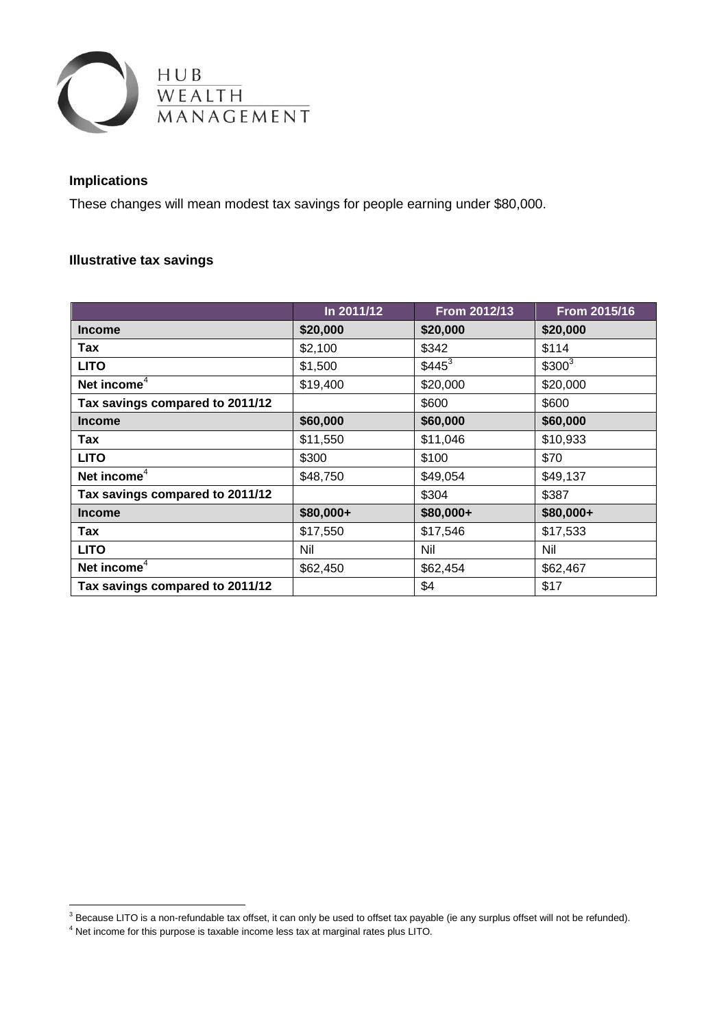

## **Implications**

<u>.</u>

These changes will mean modest tax savings for people earning under \$80,000.

## **Illustrative tax savings**

<span id="page-4-1"></span><span id="page-4-0"></span>

|                                 | In 2011/12 | <b>From 2012/13</b> | From 2015/16 |
|---------------------------------|------------|---------------------|--------------|
| <b>Income</b>                   | \$20,000   | \$20,000            | \$20,000     |
| Tax                             | \$2,100    | \$342               | \$114        |
| <b>LITO</b>                     | \$1,500    | $$445^3$            | $$300^3$     |
| Net income <sup>4</sup>         | \$19,400   | \$20,000            | \$20,000     |
| Tax savings compared to 2011/12 |            | \$600               | \$600        |
| <b>Income</b>                   | \$60,000   | \$60,000            | \$60,000     |
| Tax                             | \$11,550   | \$11,046            | \$10,933     |
| <b>LITO</b>                     | \$300      | \$100               | \$70         |
| Net income <sup>4</sup>         | \$48,750   | \$49,054            | \$49,137     |
| Tax savings compared to 2011/12 |            | \$304               | \$387        |
| <b>Income</b>                   | \$80,000+  | \$80,000+           | \$80,000+    |
| Tax                             | \$17,550   | \$17,546            | \$17,533     |
| <b>LITO</b>                     | Nil        | Nil                 | Nil          |
| Net income $4$                  | \$62,450   | \$62,454            | \$62,467     |
| Tax savings compared to 2011/12 |            | \$4                 | \$17         |

 $3$  Because LITO is a non-refundable tax offset, it can only be used to offset tax payable (ie any surplus offset will not be refunded).

<sup>4</sup> Net income for this purpose is taxable income less tax at marginal rates plus LITO.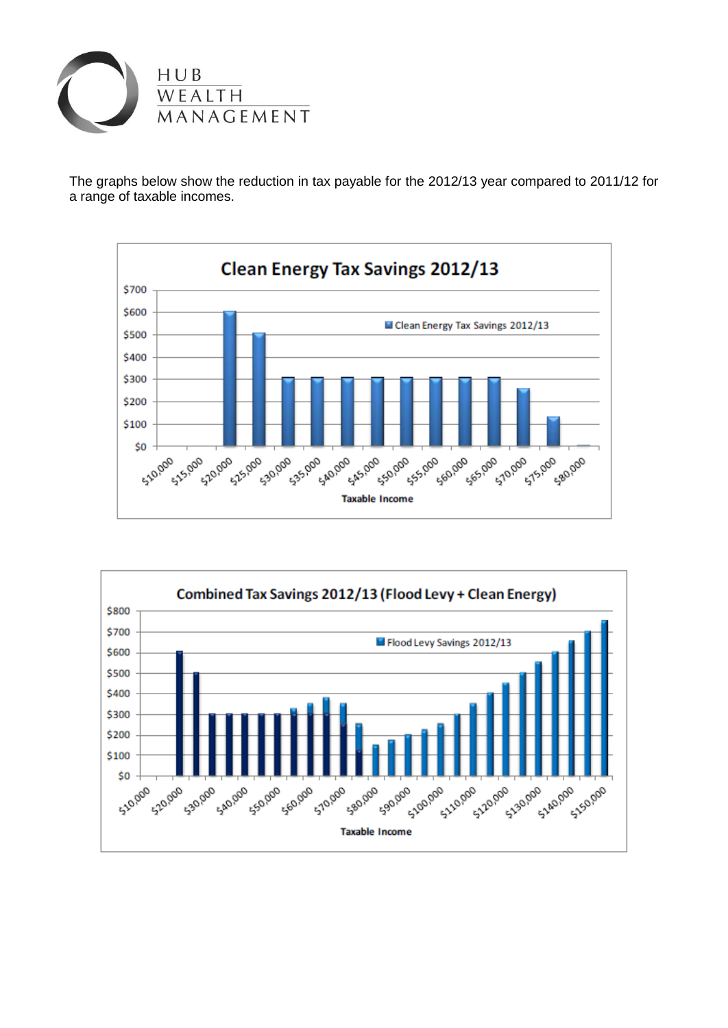

The graphs below show the reduction in tax payable for the 2012/13 year compared to 2011/12 for a range of taxable incomes.



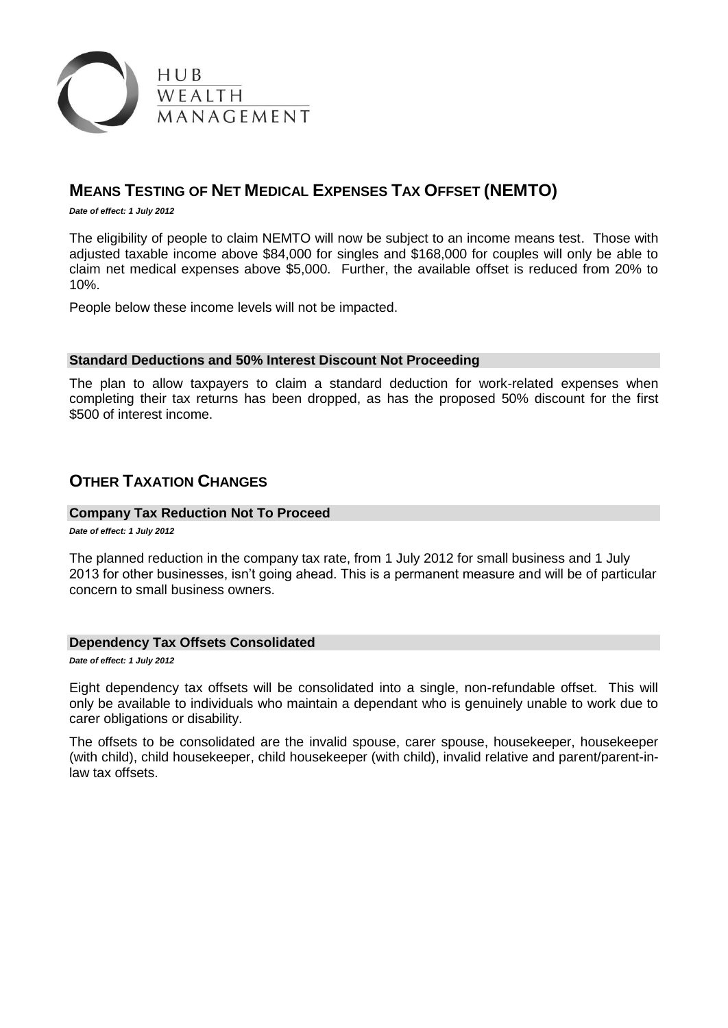

# **MEANS TESTING OF NET MEDICAL EXPENSES TAX OFFSET (NEMTO)**

*Date of effect: 1 July 2012*

The eligibility of people to claim NEMTO will now be subject to an income means test. Those with adjusted taxable income above \$84,000 for singles and \$168,000 for couples will only be able to claim net medical expenses above \$5,000. Further, the available offset is reduced from 20% to 10%.

People below these income levels will not be impacted.

#### **Standard Deductions and 50% Interest Discount Not Proceeding**

The plan to allow taxpayers to claim a standard deduction for work-related expenses when completing their tax returns has been dropped, as has the proposed [50% discount](http://www.ato.gov.au/content/00303316.htm) for the first \$500 of interest income.

### **OTHER TAXATION CHANGES**

#### **Company Tax Reduction Not To Proceed**

*Date of effect: 1 July 2012*

The planned reduction in the [company tax rate,](http://www.ato.gov.au/taxprofessionals/content.aspx?doc=/content/00288533.htm) from 1 July 2012 for small business and 1 July 2013 for other businesses, isn't going ahead. This is a permanent measure and will be of particular concern to small business owners.

#### **Dependency Tax Offsets Consolidated**

*Date of effect: 1 July 2012*

Eight dependency tax offsets will be consolidated into a single, non-refundable offset. This will only be available to individuals who maintain a dependant who is genuinely unable to work due to carer obligations or disability.

The offsets to be consolidated are the invalid spouse, carer spouse, housekeeper, housekeeper (with child), child housekeeper, child housekeeper (with child), invalid relative and parent/parent-inlaw tax offsets.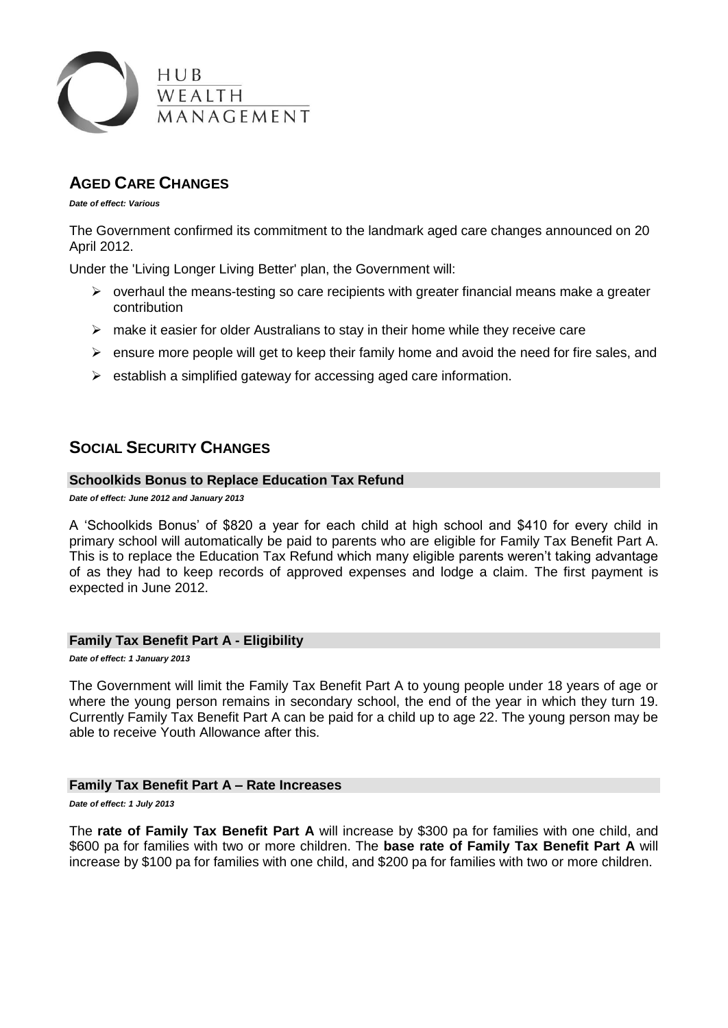

# **AGED CARE CHANGES**

*Date of effect: Various*

The Government confirmed its commitment to the landmark aged care changes announced on 20 April 2012.

Under the ['Living Longer Living Better'](http://ecomms.mlc.com.au/ve/d31a856180P8081293/stype=click/OID=812521926391/VT=0) plan, the Government will:

- $\triangleright$  overhaul the means-testing so care recipients with greater financial means make a greater contribution
- $\triangleright$  make it easier for older Australians to stay in their home while they receive care
- $\triangleright$  ensure more people will get to keep their family home and avoid the need for fire sales, and
- $\triangleright$  establish a simplified gateway for accessing aged care information.

# **SOCIAL SECURITY CHANGES**

### **Schoolkids Bonus to Replace Education Tax Refund**

*Date of effect: June 2012 and January 2013*

A 'Schoolkids Bonus' of \$820 a year for each child at high school and \$410 for every child in primary school will automatically be paid to parents who are [eligible for Family Tax Benefit Part A.](http://www.centrelink.gov.au/internet/internet.nsf/payments/ftb_a_eligible.htm) This is to replace the [Education Tax Refund](http://www.educationtaxrefund.gov.au/) which many eligible parents weren't taking advantage of as they had to keep records of approved expenses and lodge a claim. The first payment is expected in June 2012.

#### **Family Tax Benefit Part A - Eligibility**

*Date of effect: 1 January 2013*

The Government will limit the Family Tax Benefit Part A to young people under 18 years of age or where the young person remains in secondary school, the end of the year in which they turn 19. Currently Family Tax Benefit Part A can be paid for a child up to age 22. The young person may be able to receive Youth Allowance after this.

#### **Family Tax Benefit Part A – Rate Increases**

*Date of effect: 1 July 2013*

The **rate of Family Tax Benefit Part A** will increase by \$300 pa for families with one child, and \$600 pa for families with two or more children. The **base rate of Family Tax Benefit Part A** will increase by \$100 pa for families with one child, and \$200 pa for families with two or more children.